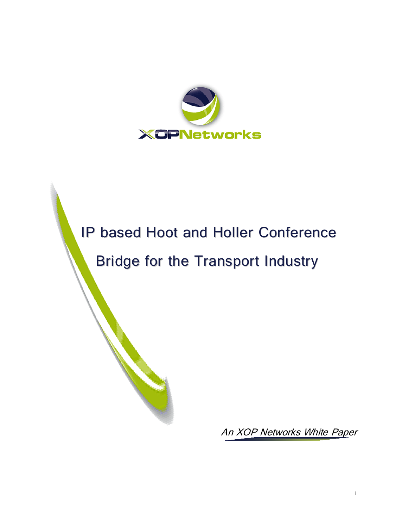

# IP based Hoot and Holler Conference Bridge for the Transport Industry

An XOP Networks White Paper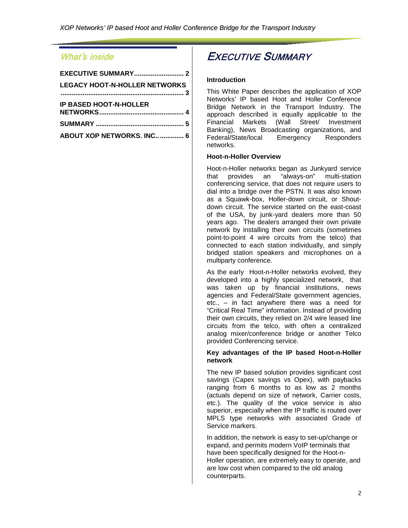### What's inside

| <b>EXECUTIVE SUMMARY 2</b>           |
|--------------------------------------|
| <b>LEGACY HOOT-N-HOLLER NETWORKS</b> |
|                                      |
| <b>IP BASED HOOT-N-HOLLER</b>        |
|                                      |
|                                      |
| <b>ABOUT XOP NETWORKS. INC 6</b>     |
|                                      |

### <span id="page-1-0"></span>EXECUTIVE SUMMARY

#### **Introduction**

This White Paper describes the application of XOP Networks' IP based Hoot and Holler Conference Bridge Network in the Transport Industry. The approach described is equally applicable to the Financial Markets (Wall Street/ Investment Banking), News Broadcasting organizations, and Federal/State/local Emergency Responders networks.

#### **Hoot-n-Holler Overview**

Hoot-n-Holler networks began as Junkyard service that provides an "always-on" multi-station conferencing service, that does not require users to dial into a bridge over the PSTN. It was also known as a Squawk-box, Holler-down circuit, or Shoutdown circuit. The service started on the east-coast of the USA, by junk-yard dealers more than 50 years ago. The dealers arranged their own private network by installing their own circuits (sometimes point-to-point 4 wire circuits from the telco) that connected to each station individually, and simply bridged station speakers and microphones on a multiparty conference.

As the early Hoot-n-Holler networks evolved, they developed into a highly specialized network, that was taken up by financial institutions, news agencies and Federal/State government agencies, etc., – in fact anywhere there was a need for "Critical Real Time" information. Instead of providing their own circuits, they relied on 2/4 wire leased line circuits from the telco, with often a centralized analog mixer/conference bridge or another Telco provided Conferencing service.

#### **Key advantages of the IP based Hoot-n-Holler network**

The new IP based solution provides significant cost savings (Capex savings vs Opex), with paybacks ranging from 6 months to as low as 2 months (actuals depend on size of network, Carrier costs, etc.). The quality of the voice service is also superior, especially when the IP traffic is routed over MPLS type networks with associated Grade of Service markers.

In addition, the network is easy to set-up/change or expand, and permits modern VoIP terminals that have been specifically designed for the Hoot-n-Holler operation, are extremely easy to operate, and are low cost when compared to the old analog counterparts.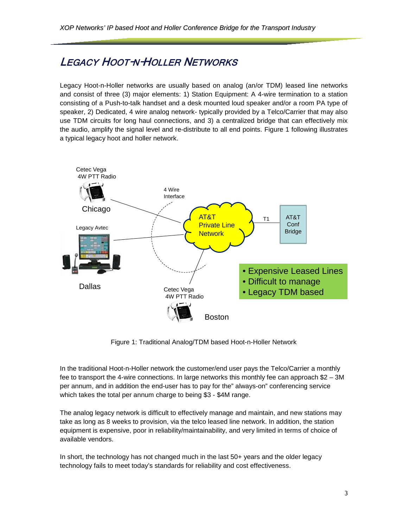### <span id="page-2-0"></span>LEGACY HOOT-N-HOLLER NETWORKS

Legacy Hoot-n-Holler networks are usually based on analog (an/or TDM) leased line networks and consist of three (3) major elements: 1) Station Equipment: A 4-wire termination to a station consisting of a Push-to-talk handset and a desk mounted loud speaker and/or a room PA type of speaker, 2) Dedicated, 4 wire analog network- typically provided by a Telco/Carrier that may also use TDM circuits for long haul connections, and 3) a centralized bridge that can effectively mix the audio, amplify the signal level and re-distribute to all end points. Figure 1 following illustrates a typical legacy hoot and holler network.



Figure 1: Traditional Analog/TDM based Hoot-n-Holler Network

In the traditional Hoot-n-Holler network the customer/end user pays the Telco/Carrier a monthly fee to transport the 4-wire connections. In large networks this monthly fee can approach \$2 – 3M per annum, and in addition the end-user has to pay for the" always-on" conferencing service which takes the total per annum charge to being \$3 - \$4M range.

The analog legacy network is difficult to effectively manage and maintain, and new stations may take as long as 8 weeks to provision, via the telco leased line network. In addition, the station equipment is expensive, poor in reliability/maintainability, and very limited in terms of choice of available vendors.

In short, the technology has not changed much in the last 50+ years and the older legacy technology fails to meet today's standards for reliability and cost effectiveness.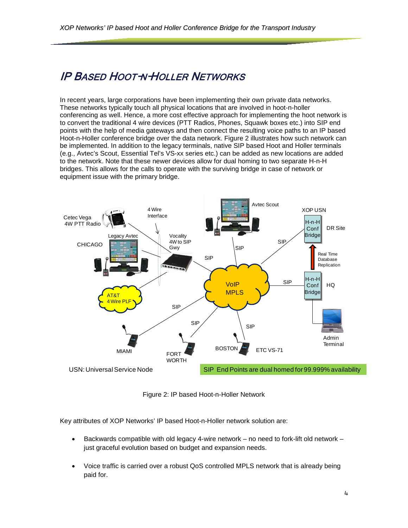### <span id="page-3-0"></span>IP BASED HOOT-N-HOLLER NETWORKS

In recent years, large corporations have been implementing their own private data networks. These networks typically touch all physical locations that are involved in hoot-n-holler conferencing as well. Hence, a more cost effective approach for implementing the hoot network is to convert the traditional 4 wire devices (PTT Radios, Phones, Squawk boxes etc.) into SIP end points with the help of media gateways and then connect the resulting voice paths to an IP based Hoot-n-Holler conference bridge over the data network. Figure 2 illustrates how such network can be implemented. In addition to the legacy terminals, native SIP based Hoot and Holler terminals (e.g., Avtec's Scout, Essential Tel's VS-xx series etc.) can be added as new locations are added to the network. Note that these newer devices allow for dual homing to two separate H-n-H bridges. This allows for the calls to operate with the surviving bridge in case of network or equipment issue with the primary bridge.



Figure 2: IP based Hoot-n-Holler Network

Key attributes of XOP Networks' IP based Hoot-n-Holler network solution are:

- Backwards compatible with old legacy 4-wire network no need to fork-lift old network just graceful evolution based on budget and expansion needs.
- Voice traffic is carried over a robust QoS controlled MPLS network that is already being paid for.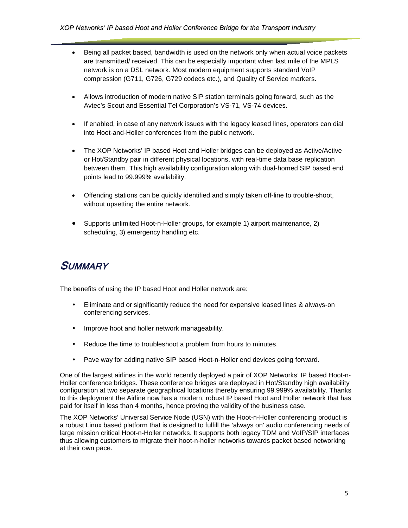- Being all packet based, bandwidth is used on the network only when actual voice packets are transmitted/ received. This can be especially important when last mile of the MPLS network is on a DSL network. Most modern equipment supports standard VoIP compression (G711, G726, G729 codecs etc.), and Quality of Service markers.
- Allows introduction of modern native SIP station terminals going forward, such as the Avtec's Scout and Essential Tel Corporation's VS-71, VS-74 devices.
- If enabled, in case of any network issues with the legacy leased lines, operators can dial into Hoot-and-Holler conferences from the public network.
- The XOP Networks' IP based Hoot and Holler bridges can be deployed as Active/Active or Hot/Standby pair in different physical locations, with real-time data base replication between them. This high availability configuration along with dual-homed SIP based end points lead to 99.999% availability.
- Offending stations can be quickly identified and simply taken off-line to trouble-shoot, without upsetting the entire network.
- Supports unlimited Hoot-n-Holler groups, for example 1) airport maintenance, 2) scheduling, 3) emergency handling etc.

### <span id="page-4-0"></span>SUMMARY

The benefits of using the IP based Hoot and Holler network are:

- Eliminate and or significantly reduce the need for expensive leased lines & always-on conferencing services.
- Improve hoot and holler network manageability.
- Reduce the time to troubleshoot a problem from hours to minutes.
- Pave way for adding native SIP based Hoot-n-Holler end devices going forward.

One of the largest airlines in the world recently deployed a pair of XOP Networks' IP based Hoot-n-Holler conference bridges. These conference bridges are deployed in Hot/Standby high availability configuration at two separate geographical locations thereby ensuring 99.999% availability. Thanks to this deployment the Airline now has a modern, robust IP based Hoot and Holler network that has paid for itself in less than 4 months, hence proving the validity of the business case.

The XOP Networks' Universal Service Node (USN) with the Hoot-n-Holler conferencing product is a robust Linux based platform that is designed to fulfill the 'always on' audio conferencing needs of large mission critical Hoot-n-Holler networks. It supports both legacy TDM and VoIP/SIP interfaces thus allowing customers to migrate their hoot-n-holler networks towards packet based networking at their own pace.